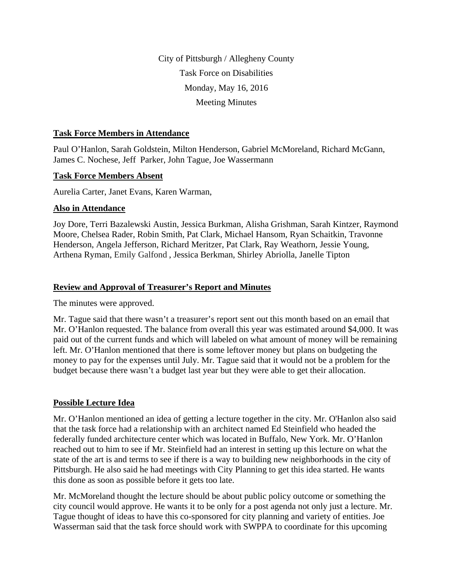City of Pittsburgh / Allegheny County Task Force on Disabilities Monday, May 16, 2016 Meeting Minutes

#### **Task Force Members in Attendance**

Paul O'Hanlon, Sarah Goldstein, Milton Henderson, Gabriel McMoreland, Richard McGann, James C. Nochese, Jeff Parker, John Tague, Joe Wassermann

### **Task Force Members Absent**

Aurelia Carter, Janet Evans, Karen Warman,

### **Also in Attendance**

Joy Dore, Terri Bazalewski Austin, Jessica Burkman, Alisha Grishman, Sarah Kintzer, Raymond Moore, Chelsea Rader, Robin Smith, Pat Clark, Michael Hansom, Ryan Schaitkin, Travonne Henderson, Angela Jefferson, Richard Meritzer, Pat Clark, Ray Weathorn, Jessie Young, Arthena Ryman, Emily Galfond , Jessica Berkman, Shirley Abriolla, Janelle Tipton

### **Review and Approval of Treasurer's Report and Minutes**

The minutes were approved.

Mr. Tague said that there wasn't a treasurer's report sent out this month based on an email that Mr. O'Hanlon requested. The balance from overall this year was estimated around \$4,000. It was paid out of the current funds and which will labeled on what amount of money will be remaining left. Mr. O'Hanlon mentioned that there is some leftover money but plans on budgeting the money to pay for the expenses until July. Mr. Tague said that it would not be a problem for the budget because there wasn't a budget last year but they were able to get their allocation.

## **Possible Lecture Idea**

Mr. O'Hanlon mentioned an idea of getting a lecture together in the city. Mr. O'Hanlon also said that the task force had a relationship with an architect named Ed Steinfield who headed the federally funded architecture center which was located in Buffalo, New York. Mr. O'Hanlon reached out to him to see if Mr. Steinfield had an interest in setting up this lecture on what the state of the art is and terms to see if there is a way to building new neighborhoods in the city of Pittsburgh. He also said he had meetings with City Planning to get this idea started. He wants this done as soon as possible before it gets too late.

Mr. McMoreland thought the lecture should be about public policy outcome or something the city council would approve. He wants it to be only for a post agenda not only just a lecture. Mr. Tague thought of ideas to have this co-sponsored for city planning and variety of entities. Joe Wasserman said that the task force should work with SWPPA to coordinate for this upcoming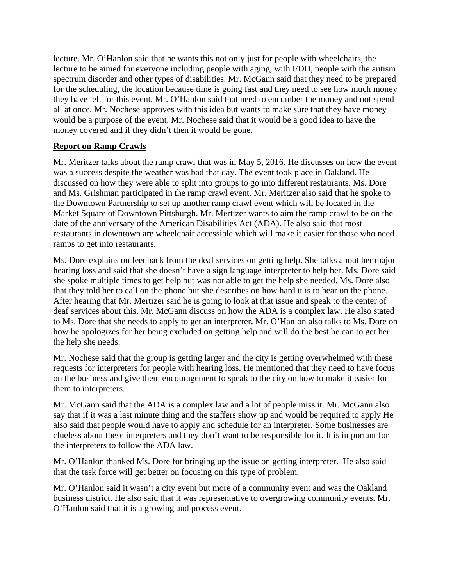lecture. Mr. O'Hanlon said that he wants this not only just for people with wheelchairs, the lecture to be aimed for everyone including people with aging, with I/DD, people with the autism spectrum disorder and other types of disabilities. Mr. McGann said that they need to be prepared for the scheduling, the location because time is going fast and they need to see how much money they have left for this event. Mr. O'Hanlon said that need to encumber the money and not spend all at once. Mr. Nochese approves with this idea but wants to make sure that they have money would be a purpose of the event. Mr. Nochese said that it would be a good idea to have the money covered and if they didn't then it would be gone.

# **Report on Ramp Crawls**

Mr. Meritzer talks about the ramp crawl that was in May 5, 2016. He discusses on how the event was a success despite the weather was bad that day. The event took place in Oakland. He discussed on how they were able to split into groups to go into different restaurants. Ms. Dore and Ms. Grishman participated in the ramp crawl event. Mr. Meritzer also said that he spoke to the Downtown Partnership to set up another ramp crawl event which will be located in the Market Square of Downtown Pittsburgh. Mr. Mertizer wants to aim the ramp crawl to be on the date of the anniversary of the American Disabilities Act (ADA). He also said that most restaurants in downtown are wheelchair accessible which will make it easier for those who need ramps to get into restaurants.

Ms. Dore explains on feedback from the deaf services on getting help. She talks about her major hearing loss and said that she doesn't have a sign language interpreter to help her. Ms. Dore said she spoke multiple times to get help but was not able to get the help she needed. Ms. Dore also that they told her to call on the phone but she describes on how hard it is to hear on the phone. After hearing that Mr. Mertizer said he is going to look at that issue and speak to the center of deaf services about this. Mr. McGann discuss on how the ADA is a complex law. He also stated to Ms. Dore that she needs to apply to get an interpreter. Mr. O'Hanlon also talks to Ms. Dore on how he apologizes for her being excluded on getting help and will do the best he can to get her the help she needs.

Mr. Nochese said that the group is getting larger and the city is getting overwhelmed with these requests for interpreters for people with hearing loss. He mentioned that they need to have focus on the business and give them encouragement to speak to the city on how to make it easier for them to interpreters.

Mr. McGann said that the ADA is a complex law and a lot of people miss it. Mr. McGann also say that if it was a last minute thing and the staffers show up and would be required to apply He also said that people would have to apply and schedule for an interpreter. Some businesses are clueless about these interpreters and they don't want to be responsible for it. It is important for the interpreters to follow the ADA law.

Mr. O'Hanlon thanked Ms. Dore for bringing up the issue on getting interpreter. He also said that the task force will get better on focusing on this type of problem.

Mr. O'Hanlon said it wasn't a city event but more of a community event and was the Oakland business district. He also said that it was representative to overgrowing community events. Mr. O'Hanlon said that it is a growing and process event.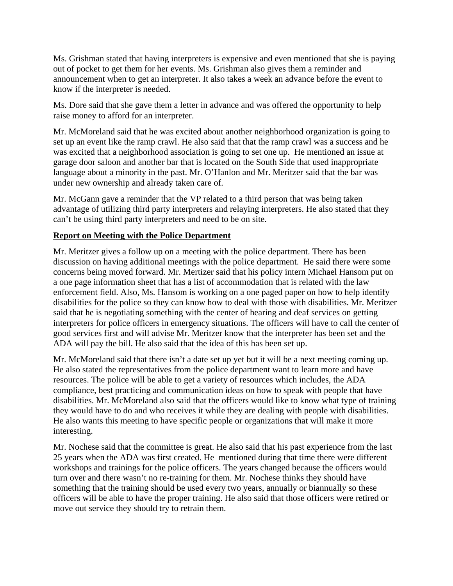Ms. Grishman stated that having interpreters is expensive and even mentioned that she is paying out of pocket to get them for her events. Ms. Grishman also gives them a reminder and announcement when to get an interpreter. It also takes a week an advance before the event to know if the interpreter is needed.

Ms. Dore said that she gave them a letter in advance and was offered the opportunity to help raise money to afford for an interpreter.

Mr. McMoreland said that he was excited about another neighborhood organization is going to set up an event like the ramp crawl. He also said that that the ramp crawl was a success and he was excited that a neighborhood association is going to set one up. He mentioned an issue at garage door saloon and another bar that is located on the South Side that used inappropriate language about a minority in the past. Mr. O'Hanlon and Mr. Meritzer said that the bar was under new ownership and already taken care of.

Mr. McGann gave a reminder that the VP related to a third person that was being taken advantage of utilizing third party interpreters and relaying interpreters. He also stated that they can't be using third party interpreters and need to be on site.

### **Report on Meeting with the Police Department**

Mr. Meritzer gives a follow up on a meeting with the police department. There has been discussion on having additional meetings with the police department. He said there were some concerns being moved forward. Mr. Mertizer said that his policy intern Michael Hansom put on a one page information sheet that has a list of accommodation that is related with the law enforcement field. Also, Ms. Hansom is working on a one paged paper on how to help identify disabilities for the police so they can know how to deal with those with disabilities. Mr. Meritzer said that he is negotiating something with the center of hearing and deaf services on getting interpreters for police officers in emergency situations. The officers will have to call the center of good services first and will advise Mr. Meritzer know that the interpreter has been set and the ADA will pay the bill. He also said that the idea of this has been set up.

Mr. McMoreland said that there isn't a date set up yet but it will be a next meeting coming up. He also stated the representatives from the police department want to learn more and have resources. The police will be able to get a variety of resources which includes, the ADA compliance, best practicing and communication ideas on how to speak with people that have disabilities. Mr. McMoreland also said that the officers would like to know what type of training they would have to do and who receives it while they are dealing with people with disabilities. He also wants this meeting to have specific people or organizations that will make it more interesting.

Mr. Nochese said that the committee is great. He also said that his past experience from the last 25 years when the ADA was first created. He mentioned during that time there were different workshops and trainings for the police officers. The years changed because the officers would turn over and there wasn't no re-training for them. Mr. Nochese thinks they should have something that the training should be used every two years, annually or biannually so these officers will be able to have the proper training. He also said that those officers were retired or move out service they should try to retrain them.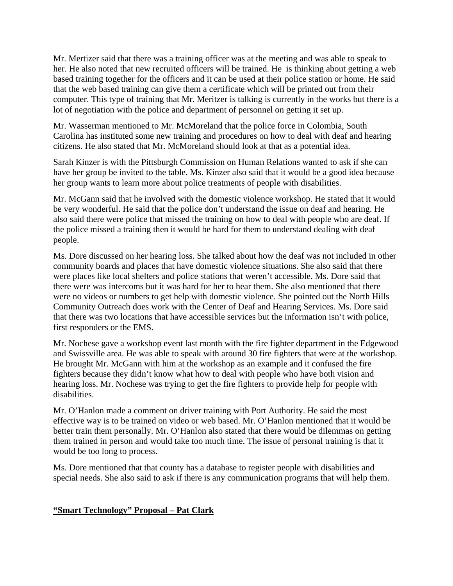Mr. Mertizer said that there was a training officer was at the meeting and was able to speak to her. He also noted that new recruited officers will be trained. He is thinking about getting a web based training together for the officers and it can be used at their police station or home. He said that the web based training can give them a certificate which will be printed out from their computer. This type of training that Mr. Meritzer is talking is currently in the works but there is a lot of negotiation with the police and department of personnel on getting it set up.

Mr. Wasserman mentioned to Mr. McMoreland that the police force in Colombia, South Carolina has instituted some new training and procedures on how to deal with deaf and hearing citizens. He also stated that Mr. McMoreland should look at that as a potential idea.

Sarah Kinzer is with the Pittsburgh Commission on Human Relations wanted to ask if she can have her group be invited to the table. Ms. Kinzer also said that it would be a good idea because her group wants to learn more about police treatments of people with disabilities.

Mr. McGann said that he involved with the domestic violence workshop. He stated that it would be very wonderful. He said that the police don't understand the issue on deaf and hearing. He also said there were police that missed the training on how to deal with people who are deaf. If the police missed a training then it would be hard for them to understand dealing with deaf people.

Ms. Dore discussed on her hearing loss. She talked about how the deaf was not included in other community boards and places that have domestic violence situations. She also said that there were places like local shelters and police stations that weren't accessible. Ms. Dore said that there were was intercoms but it was hard for her to hear them. She also mentioned that there were no videos or numbers to get help with domestic violence. She pointed out the North Hills Community Outreach does work with the Center of Deaf and Hearing Services. Ms. Dore said that there was two locations that have accessible services but the information isn't with police, first responders or the EMS.

Mr. Nochese gave a workshop event last month with the fire fighter department in the Edgewood and Swissville area. He was able to speak with around 30 fire fighters that were at the workshop. He brought Mr. McGann with him at the workshop as an example and it confused the fire fighters because they didn't know what how to deal with people who have both vision and hearing loss. Mr. Nochese was trying to get the fire fighters to provide help for people with disabilities.

Mr. O'Hanlon made a comment on driver training with Port Authority. He said the most effective way is to be trained on video or web based. Mr. O'Hanlon mentioned that it would be better train them personally. Mr. O'Hanlon also stated that there would be dilemmas on getting them trained in person and would take too much time. The issue of personal training is that it would be too long to process.

Ms. Dore mentioned that that county has a database to register people with disabilities and special needs. She also said to ask if there is any communication programs that will help them.

## **"Smart Technology" Proposal – Pat Clark**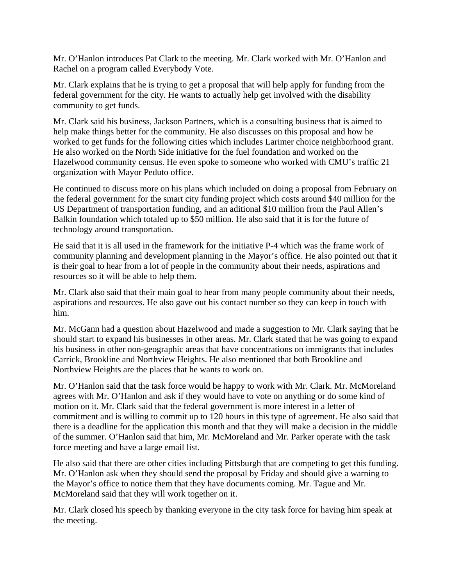Mr. O'Hanlon introduces Pat Clark to the meeting. Mr. Clark worked with Mr. O'Hanlon and Rachel on a program called Everybody Vote.

Mr. Clark explains that he is trying to get a proposal that will help apply for funding from the federal government for the city. He wants to actually help get involved with the disability community to get funds.

Mr. Clark said his business, Jackson Partners, which is a consulting business that is aimed to help make things better for the community. He also discusses on this proposal and how he worked to get funds for the following cities which includes Larimer choice neighborhood grant. He also worked on the North Side initiative for the fuel foundation and worked on the Hazelwood community census. He even spoke to someone who worked with CMU's traffic 21 organization with Mayor Peduto office.

He continued to discuss more on his plans which included on doing a proposal from February on the federal government for the smart city funding project which costs around \$40 million for the US Department of transportation funding, and an aditional \$10 million from the Paul Allen's Balkin foundation which totaled up to \$50 million. He also said that it is for the future of technology around transportation.

He said that it is all used in the framework for the initiative P-4 which was the frame work of community planning and development planning in the Mayor's office. He also pointed out that it is their goal to hear from a lot of people in the community about their needs, aspirations and resources so it will be able to help them.

Mr. Clark also said that their main goal to hear from many people community about their needs, aspirations and resources. He also gave out his contact number so they can keep in touch with him.

Mr. McGann had a question about Hazelwood and made a suggestion to Mr. Clark saying that he should start to expand his businesses in other areas. Mr. Clark stated that he was going to expand his business in other non-geographic areas that have concentrations on immigrants that includes Carrick, Brookline and Northview Heights. He also mentioned that both Brookline and Northview Heights are the places that he wants to work on.

Mr. O'Hanlon said that the task force would be happy to work with Mr. Clark. Mr. McMoreland agrees with Mr. O'Hanlon and ask if they would have to vote on anything or do some kind of motion on it. Mr. Clark said that the federal government is more interest in a letter of commitment and is willing to commit up to 120 hours in this type of agreement. He also said that there is a deadline for the application this month and that they will make a decision in the middle of the summer. O'Hanlon said that him, Mr. McMoreland and Mr. Parker operate with the task force meeting and have a large email list.

He also said that there are other cities including Pittsburgh that are competing to get this funding. Mr. O'Hanlon ask when they should send the proposal by Friday and should give a warning to the Mayor's office to notice them that they have documents coming. Mr. Tague and Mr. McMoreland said that they will work together on it.

Mr. Clark closed his speech by thanking everyone in the city task force for having him speak at the meeting.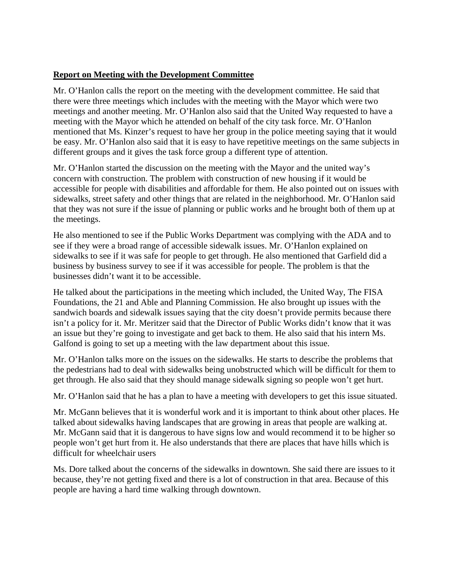## **Report on Meeting with the Development Committee**

Mr. O'Hanlon calls the report on the meeting with the development committee. He said that there were three meetings which includes with the meeting with the Mayor which were two meetings and another meeting. Mr. O'Hanlon also said that the United Way requested to have a meeting with the Mayor which he attended on behalf of the city task force. Mr. O'Hanlon mentioned that Ms. Kinzer's request to have her group in the police meeting saying that it would be easy. Mr. O'Hanlon also said that it is easy to have repetitive meetings on the same subjects in different groups and it gives the task force group a different type of attention.

Mr. O'Hanlon started the discussion on the meeting with the Mayor and the united way's concern with construction. The problem with construction of new housing if it would be accessible for people with disabilities and affordable for them. He also pointed out on issues with sidewalks, street safety and other things that are related in the neighborhood. Mr. O'Hanlon said that they was not sure if the issue of planning or public works and he brought both of them up at the meetings.

He also mentioned to see if the Public Works Department was complying with the ADA and to see if they were a broad range of accessible sidewalk issues. Mr. O'Hanlon explained on sidewalks to see if it was safe for people to get through. He also mentioned that Garfield did a business by business survey to see if it was accessible for people. The problem is that the businesses didn't want it to be accessible.

He talked about the participations in the meeting which included, the United Way, The FISA Foundations, the 21 and Able and Planning Commission. He also brought up issues with the sandwich boards and sidewalk issues saying that the city doesn't provide permits because there isn't a policy for it. Mr. Meritzer said that the Director of Public Works didn't know that it was an issue but they're going to investigate and get back to them. He also said that his intern Ms. Galfond is going to set up a meeting with the law department about this issue.

Mr. O'Hanlon talks more on the issues on the sidewalks. He starts to describe the problems that the pedestrians had to deal with sidewalks being unobstructed which will be difficult for them to get through. He also said that they should manage sidewalk signing so people won't get hurt.

Mr. O'Hanlon said that he has a plan to have a meeting with developers to get this issue situated.

Mr. McGann believes that it is wonderful work and it is important to think about other places. He talked about sidewalks having landscapes that are growing in areas that people are walking at. Mr. McGann said that it is dangerous to have signs low and would recommend it to be higher so people won't get hurt from it. He also understands that there are places that have hills which is difficult for wheelchair users

Ms. Dore talked about the concerns of the sidewalks in downtown. She said there are issues to it because, they're not getting fixed and there is a lot of construction in that area. Because of this people are having a hard time walking through downtown.